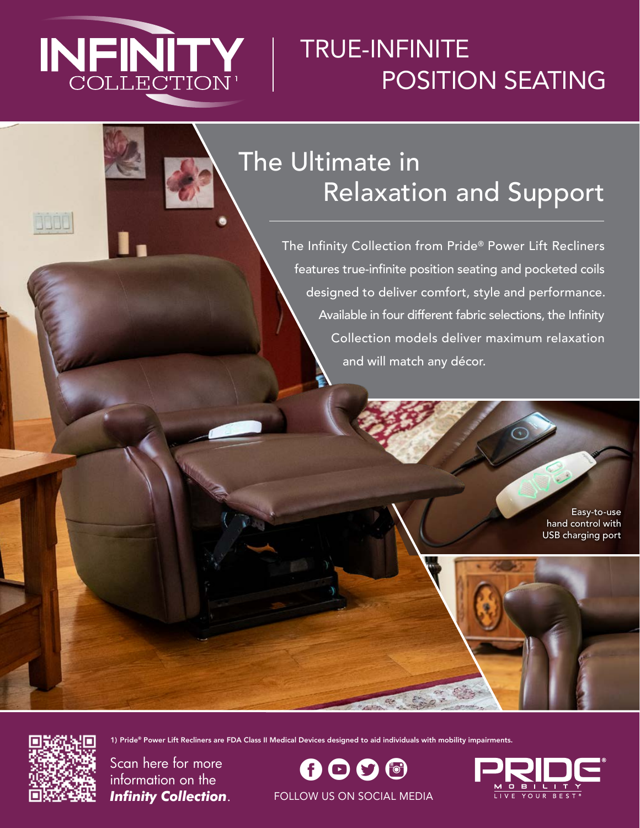

# TRUE-INFINITE POSITION SEATING

## The Ultimate in Relaxation and Support

The Infinity Collection from Pride® Power Lift Recliners features true-infinite position seating and pocketed coils designed to deliver comfort, style and performance. Available in four different fabric selections, the Infinity Collection models deliver maximum relaxation and will match any décor.

> Easy-to-use hand control with USB charging port



**BOOD** 

Scan here for more information on the *Infinity Collection*.

 $\boldsymbol \theta \boldsymbol \Theta \boldsymbol \Theta$  (f) FOLLOW US ON SOCIAL MEDIA

1) Pride® Power Lift Recliners are FDA Class II Medical Devices designed to aid individuals with mobility impairments.